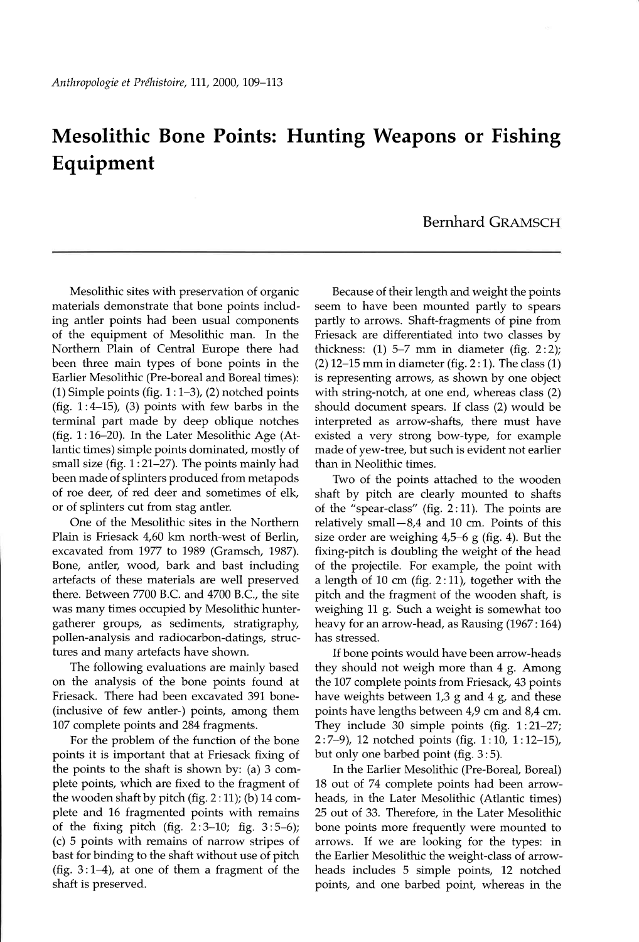## Mesolithic Bone Points: Hunting Weapons or Fishing Equipment

## Bernhard GRAMSCH

Mesolithic sites with preservation of organic materials demonstrate that bone points including antler points had been usual components of the equipment of Mesolithic man. In the Northern Plain of Central Europe there had been three main types of bone points in the Earlier Mesolithic (Pre-boreal and Boreal times): (1) Simple points (fig.  $1:1-3$ ), (2) notched points (fig.  $1:4-15$ ), (3) points with few barbs in the terminal part made by deep oblique notches (fig.  $1:16-20$ ). In the Later Mesolithic Age (Atlantic times) simple points dominated, mostly of small size (fig.  $1:21-27$ ). The points mainly had been made of splinters produced from metapods of roe deer, of red deer and sometimes of elk, or of splinters cut from stag antler.

One of the Mesolithic sites in the Northern Plain is Friesack 4,60 km north-west of Berlin, excavated from 1977 to 1989 (Gramsch, 1987). Bone, antler, wood, bark and bast including artefacts of these materials are well preserved there. Between 7700 B.C. and 4700 8.C., the site was many times occupied by Mesolithic huntergatherer groups, as sediments, stratigraphy, pollen-analysis and radiocarbon-datings, structures and many artefacts have shown.

The following evaluations are mainly based on the analysis of the bone points found at Friesack. There had been excavated 391 bone-(inclusive of few antler-) points, among them L07 complete points and 284 fragments.

For the problem of the function of the bone points it is important that at Friesack fixing of the points to the shaft is shown by: (a) 3 complete points, which are fixed to the fragment of the wooden shaft by pitch (fig.  $2:11$ ); (b) 14 complete and 16 fragmented points with remains of the fixing pitch (fig.  $2:3-10$ ; fig.  $3:5-6$ ); (c) 5 points with remains of narrow stripes of bast for binding to the shaft without use of pitch (fig.  $3:1-4$ ), at one of them a fragment of the shaft is preserved.

Because of their length and weight the points seem to have been mounted partly to spears partly to arrows. Shaft-fragments of pine from Friesack are differentiated into two classes by thickness:  $(1)$  5-7 mm in diameter (fig. 2:2);  $(2)$  12-15 mm in diameter (fig. 2: 1). The class  $(1)$ is representing arrows, as shown by one object with string-notch, at one end, whereas class (2) should document spears. If class (2) would be interpreted as arrow-shafts, there must have existed a very strong bow-type, for example made of yew-tree, but such is evident not earlier than in Neolithic times.

TWo of the points attached to the wooden shaft by pitch are clearly mounted to shafts of the "spear-class" (fig.  $2:11$ ). The points are relatively small-8,4 and 10 cm. Points of this size order are weighing 4,5-6 g (fig. 4). But the fixing-pitch is doubling the weight of the head of the projectile. For example, the point with a length of 10 cm (fig.  $2:11$ ), together with the pitch and the fragment of the wooden shaft, is weighing 11 g. Such a weight is somewhat too heavy for an arrow-head, as Rausing (1967:164) has stressed.

If bone points would have been arrow-heads they should not weigh more than 4 g. Among the 107 complete points from Friesack, 43 points have weights between  $1,3$  g and  $4$  g, and these points have lengths between 4,9 cm and 8,4 cm. They include 30 simple points (fig.  $1:21-27$ ;  $2:7-9$ ), 12 notched points (fig.  $1:10$ ,  $1:12-15$ ), but only one barbed point (fig. 3 :5).

In the Earlier Mesolithic (Pre-Boreal, Boreal) L8 out of 74 complete points had been arrowheads, in the Later Mesolithic (Atlantic times) 25 out of 33. Therefore, in the Later Mesolithic bone points more frequently were mounted to arrows. If we are looking for the types: in the Earlier Mesolithic the weight-class of arrowheads includes 5 simple points, 12 notched points, and one barbed point, whereas in the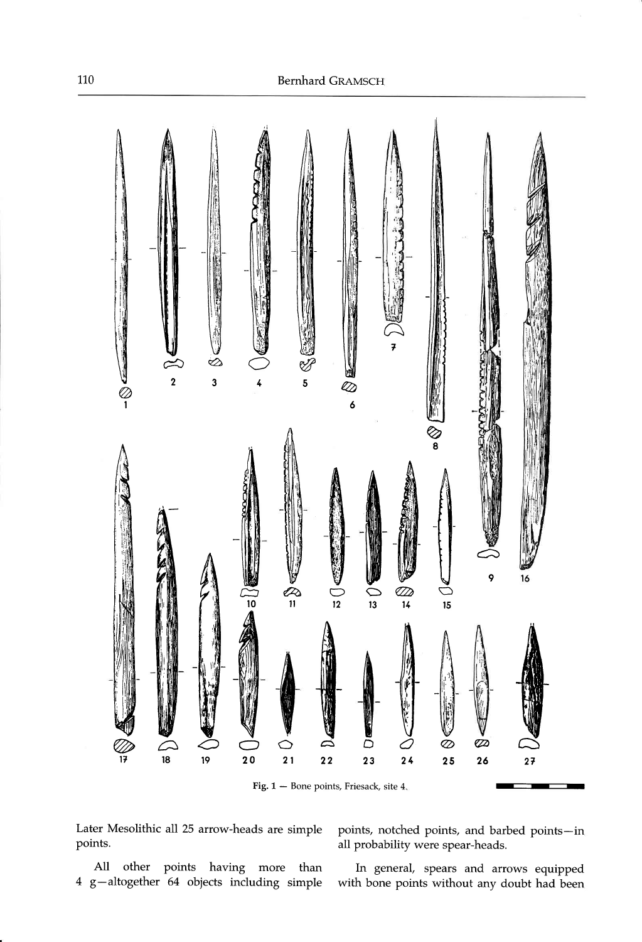

Later Mesolithic all 25 arrow-heads are simple points.

All other points having more than 4 g-altogether 64 objects including simple

points, notched points, and barbed points-in all probability were spear-heads.

In general, spears and arrows equipped with bone points without any doubt had been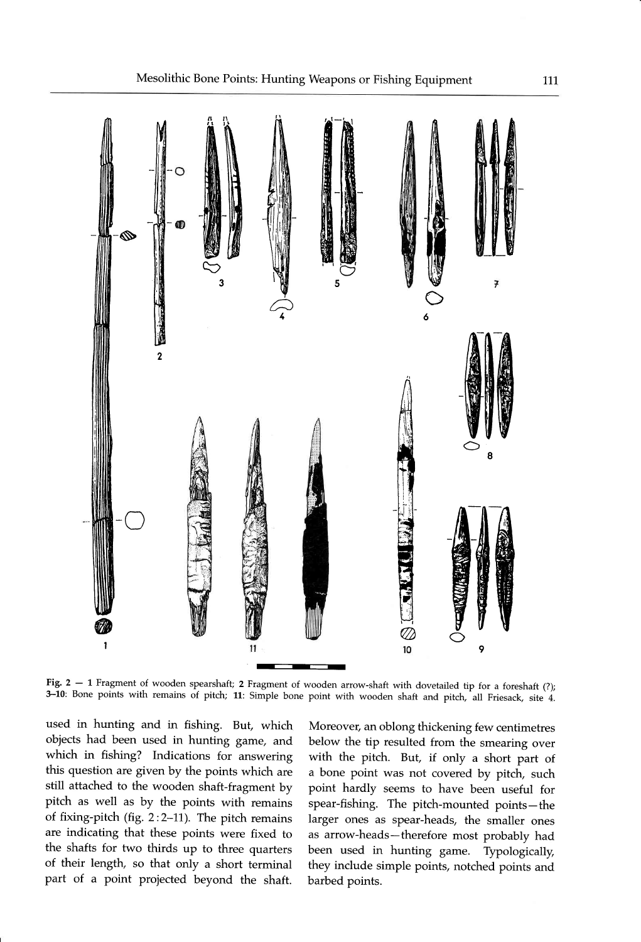

Fig.  $2 - 1$  Fragment of wooden spearshaft; 2 Fragment of wooden arrow-shaft with dovetailed tip for a foreshaft (?); 3-10: Bone points with remains of pitch; 11: Simple bone point with wooden shaft and pitch, all Friesack, site 4.

used in hunting and in fishing. But, which objects had been used in hunting game, and which in fishing? Indications for answering this question are given by the points which are still attached to the wooden shaft-fragment by pitch as well as by the points with remains of fixing-pitch (fig. 2:2-11). The pitch remains are indicating that these points were fixed to the shafts for two thirds up to three quarters of their length, so that only a short terminal part of a point projected beyond the shaft.

Moreover, an oblong thickening few centimetres below the tip resulted from the smearing over with the pitch. But, if only a short part of a bone point was not covered by pitch, such point hardly seems to have been useful for spear-fishing. The pitch-mounted points-the larger ones as spear-heads, the smaller ones as arrow-heads-therefore most probably had been used in hunting game. Typologically, they include simple points, notched points and barbed points.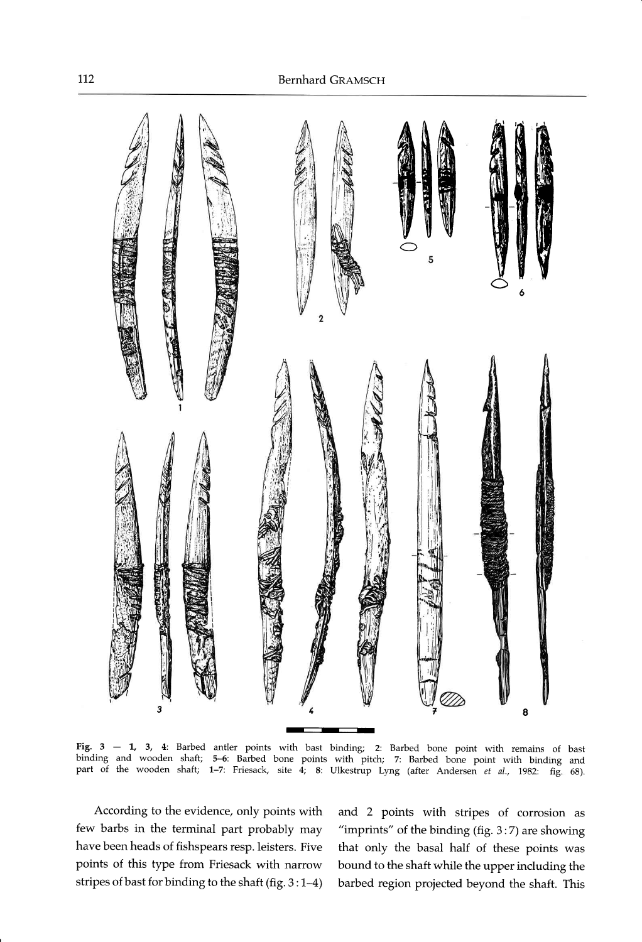

Fig. 3 - 1, 3, 4: Barbed antler points with bast binding; 2: Barbed bone point with remains of bast binding and wooden shaft; 5–6: Barbed bone points with pitch; 7: Barbed bone point with binding and part of the wooden shaft; 1-7: Friesack, site  $\overline{4}$ ; 8: Ulkestrup Lyng (after Andersen et al., 1982: fig. 68).

According to the evidence, only points with few barbs in the terminal part probably may have been heads of fishspears resp. leisters. Five points of this type from Friesack with narrow stripes of bast for binding to the shaft (fig.  $3:1-4$ )

and 2 points with stripes of corrosion as "imprints" of the binding (fig. 3:7) are showing that only the basal half of these points was bound to the shaft while the upper including the barbed region projected beyond the shaft. This